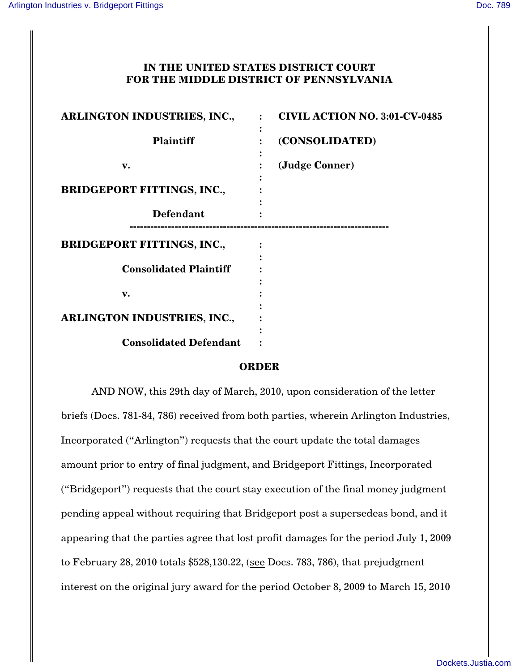## **IN THE UNITED STATES DISTRICT COURT FOR THE MIDDLE DISTRICT OF PENNSYLVANIA**

| ARLINGTON INDUSTRIES, INC.,       | <b>CIVIL ACTION NO. 3:01-CV-0485</b><br>$\cdot$ |
|-----------------------------------|-------------------------------------------------|
| <b>Plaintiff</b>                  | (CONSOLIDATED)                                  |
| v.                                | (Judge Conner)                                  |
| <b>BRIDGEPORT FITTINGS, INC.,</b> |                                                 |
| <b>Defendant</b>                  |                                                 |
| <b>BRIDGEPORT FITTINGS, INC.,</b> |                                                 |
| <b>Consolidated Plaintiff</b>     |                                                 |
| v.                                |                                                 |
| ARLINGTON INDUSTRIES, INC.,       |                                                 |
| <b>Consolidated Defendant</b>     |                                                 |

## **ORDER**

AND NOW, this 29th day of March, 2010, upon consideration of the letter briefs (Docs. 781-84, 786) received from both parties, wherein Arlington Industries, Incorporated ("Arlington") requests that the court update the total damages amount prior to entry of final judgment, and Bridgeport Fittings, Incorporated ("Bridgeport") requests that the court stay execution of the final money judgment pending appeal without requiring that Bridgeport post a supersedeas bond, and it appearing that the parties agree that lost profit damages for the period July 1, 2009 to February 28, 2010 totals \$528,130.22, (see Docs. 783, 786), that prejudgment interest on the original jury award for the period October 8, 2009 to March 15, 2010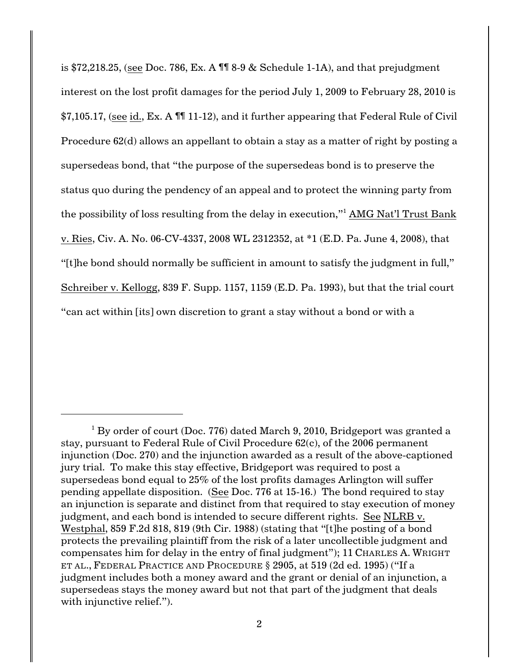is \$72,218.25, (see Doc. 786, Ex. A ¶¶ 8-9 & Schedule 1-1A), and that prejudgment interest on the lost profit damages for the period July 1, 2009 to February 28, 2010 is \$7,105.17, (see id., Ex. A ¶¶ 11-12), and it further appearing that Federal Rule of Civil Procedure 62(d) allows an appellant to obtain a stay as a matter of right by posting a supersedeas bond, that "the purpose of the supersedeas bond is to preserve the status quo during the pendency of an appeal and to protect the winning party from the possibility of loss resulting from the delay in execution,"<sup>1</sup> AMG Nat'l Trust Bank v. Ries, Civ. A. No. 06-CV-4337, 2008 WL 2312352, at \*1 (E.D. Pa. June 4, 2008), that "[t]he bond should normally be sufficient in amount to satisfy the judgment in full," Schreiber v. Kellogg, 839 F. Supp. 1157, 1159 (E.D. Pa. 1993), but that the trial court "can act within [its] own discretion to grant a stay without a bond or with a

 $1$  By order of court (Doc. 776) dated March 9, 2010, Bridgeport was granted a stay, pursuant to Federal Rule of Civil Procedure 62(c), of the 2006 permanent injunction (Doc. 270) and the injunction awarded as a result of the above-captioned jury trial. To make this stay effective, Bridgeport was required to post a supersedeas bond equal to 25% of the lost profits damages Arlington will suffer pending appellate disposition. (See Doc. 776 at 15-16.) The bond required to stay an injunction is separate and distinct from that required to stay execution of money judgment, and each bond is intended to secure different rights. See NLRB v. Westphal, 859 F.2d 818, 819 (9th Cir. 1988) (stating that "[t]he posting of a bond protects the prevailing plaintiff from the risk of a later uncollectible judgment and compensates him for delay in the entry of final judgment"); 11 CHARLES A. WRIGHT ET AL., FEDERAL PRACTICE AND PROCEDURE § 2905, at 519 (2d ed. 1995) ("If a judgment includes both a money award and the grant or denial of an injunction, a supersedeas stays the money award but not that part of the judgment that deals with injunctive relief.").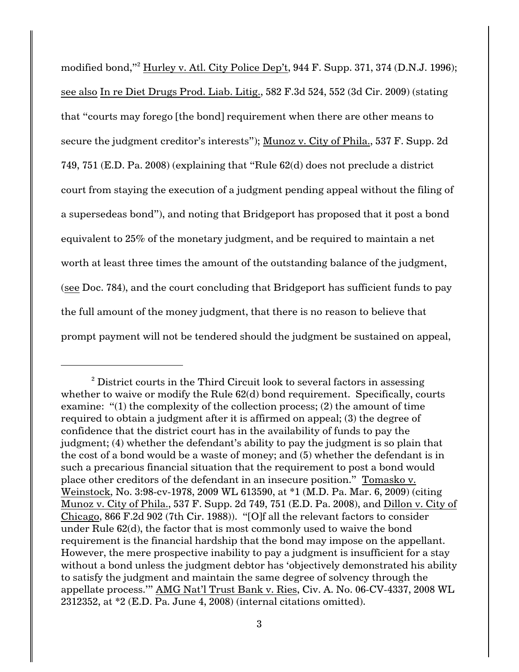modified bond,"<sup>2</sup> Hurley v. Atl. City Police Dep't, 944 F. Supp. 371, 374 (D.N.J. 1996); see also In re Diet Drugs Prod. Liab. Litig., 582 F.3d 524, 552 (3d Cir. 2009) (stating that "courts may forego [the bond] requirement when there are other means to secure the judgment creditor's interests"); Munoz v. City of Phila., 537 F. Supp. 2d 749, 751 (E.D. Pa. 2008) (explaining that "Rule 62(d) does not preclude a district court from staying the execution of a judgment pending appeal without the filing of a supersedeas bond"), and noting that Bridgeport has proposed that it post a bond equivalent to 25% of the monetary judgment, and be required to maintain a net worth at least three times the amount of the outstanding balance of the judgment, (see Doc. 784), and the court concluding that Bridgeport has sufficient funds to pay the full amount of the money judgment, that there is no reason to believe that prompt payment will not be tendered should the judgment be sustained on appeal,

 $\alpha^2$  District courts in the Third Circuit look to several factors in assessing whether to waive or modify the Rule  $62(d)$  bond requirement. Specifically, courts examine: "(1) the complexity of the collection process; (2) the amount of time required to obtain a judgment after it is affirmed on appeal; (3) the degree of confidence that the district court has in the availability of funds to pay the judgment; (4) whether the defendant's ability to pay the judgment is so plain that the cost of a bond would be a waste of money; and (5) whether the defendant is in such a precarious financial situation that the requirement to post a bond would place other creditors of the defendant in an insecure position." Tomasko v. Weinstock, No. 3:98-cv-1978, 2009 WL 613590, at \*1 (M.D. Pa. Mar. 6, 2009) (citing Munoz v. City of Phila., 537 F. Supp. 2d 749, 751 (E.D. Pa. 2008), and Dillon v. City of Chicago, 866 F.2d 902 (7th Cir. 1988)). "[O]f all the relevant factors to consider under Rule 62(d), the factor that is most commonly used to waive the bond requirement is the financial hardship that the bond may impose on the appellant. However, the mere prospective inability to pay a judgment is insufficient for a stay without a bond unless the judgment debtor has 'objectively demonstrated his ability to satisfy the judgment and maintain the same degree of solvency through the appellate process.'" AMG Nat'l Trust Bank v. Ries, Civ. A. No. 06-CV-4337, 2008 WL 2312352, at \*2 (E.D. Pa. June 4, 2008) (internal citations omitted).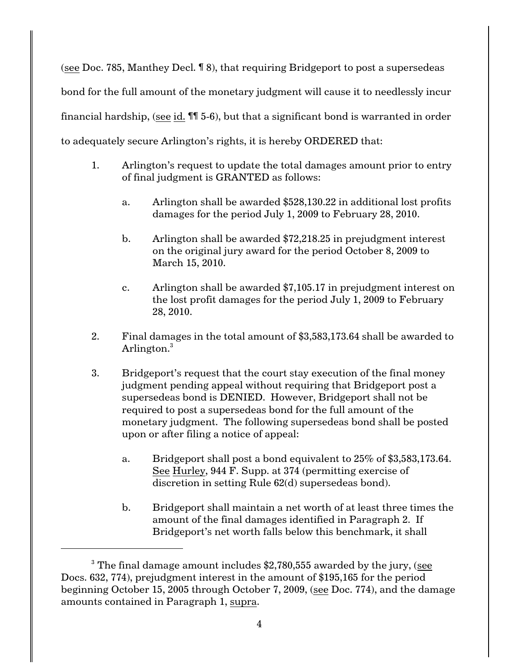(see Doc. 785, Manthey Decl. ¶ 8), that requiring Bridgeport to post a supersedeas bond for the full amount of the monetary judgment will cause it to needlessly incur financial hardship, (see id.  $\P$  $I$  5-6), but that a significant bond is warranted in order to adequately secure Arlington's rights, it is hereby ORDERED that:

- 1. Arlington's request to update the total damages amount prior to entry of final judgment is GRANTED as follows:
	- a. Arlington shall be awarded \$528,130.22 in additional lost profits damages for the period July 1, 2009 to February 28, 2010.
	- b. Arlington shall be awarded \$72,218.25 in prejudgment interest on the original jury award for the period October 8, 2009 to March 15, 2010.
	- c. Arlington shall be awarded \$7,105.17 in prejudgment interest on the lost profit damages for the period July 1, 2009 to February 28, 2010.
- 2. Final damages in the total amount of \$3,583,173.64 shall be awarded to Arlington.<sup>3</sup>
- 3. Bridgeport's request that the court stay execution of the final money judgment pending appeal without requiring that Bridgeport post a supersedeas bond is DENIED. However, Bridgeport shall not be required to post a supersedeas bond for the full amount of the monetary judgment. The following supersedeas bond shall be posted upon or after filing a notice of appeal:
	- a. Bridgeport shall post a bond equivalent to 25% of \$3,583,173.64. See Hurley, 944 F. Supp. at 374 (permitting exercise of discretion in setting Rule 62(d) supersedeas bond).
	- b. Bridgeport shall maintain a net worth of at least three times the amount of the final damages identified in Paragraph 2. If Bridgeport's net worth falls below this benchmark, it shall

 $^3$  The final damage amount includes \$2,780,555 awarded by the jury, (<u>see</u> Docs. 632, 774), prejudgment interest in the amount of \$195,165 for the period beginning October 15, 2005 through October 7, 2009, (see Doc. 774), and the damage amounts contained in Paragraph 1, supra.